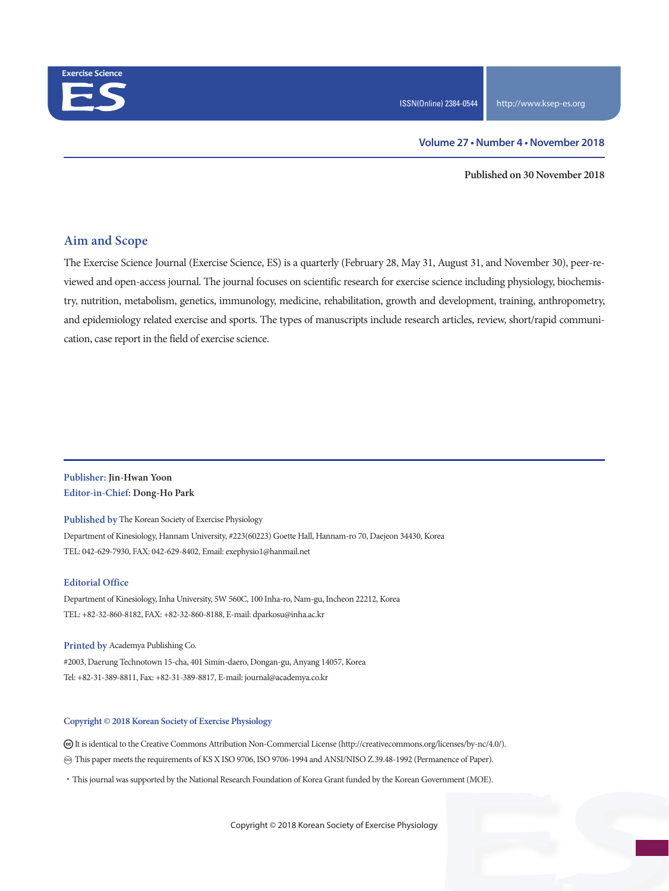

**Published on 30 November 2018**

### **Aim and Scope**

The Exercise Science Journal (Exercise Science, ES) is a quarterly (February 28, May 31, August 31, and November 30), peer-reviewed and open-access journal. The journal focuses on scientific research for exercise science including physiology, biochemistry, nutrition, metabolism, genetics, immunology, medicine, rehabilitation, growth and development, training, anthropometry, and epidemiology related exercise and sports. The types of manuscripts include research articles, review, short/rapid communication, case report in the field of exercise science.

#### **Publisher: Jin-Hwan Yoon Editor-in-Chief: Dong-Ho Park**

**Published by** The Korean Society of Exercise Physiology Department of Kinesiology, Hannam University, #223(60223) Goette Hall, Hannam-ro 70, Daejeon 34430, Korea TEL: 042-629-7930, FAX: 042-629-8402, Email: exephysio1@hanmail.net

#### **Editorial Office**

Department of Kinesiology, Inha University, 5W 560C, 100 Inha-ro, Nam-gu, Incheon 22212, Korea TEL: +82-32-860-8182, FAX: +82-32-860-8188, E-mail: dparkosu@inha.ac.kr

**Printed by** Academya Publishing Co. #2003, Daerung Technotown 15-cha, 401 Simin-daero, Dongan-gu, Anyang 14057, Korea Tel: +82-31-389-8811, Fax: +82-31-389-8817, E-mail: journal@academya.co.kr

#### **Copyright © 2018 Korean Society of Exercise Physiology**

 It is identical to the Creative Commons Attribution Non-Commercial License (http://creativecommons.org/licenses/by-nc/4.0/). ∞ This paper meets the requirements of KS X ISO 9706, ISO 9706-1994 and ANSI/NISO Z.39.48-1992 (Permanence of Paper).

·This journal was supported by the National Research Foundation of Korea Grant funded by the Korean Government (MOE).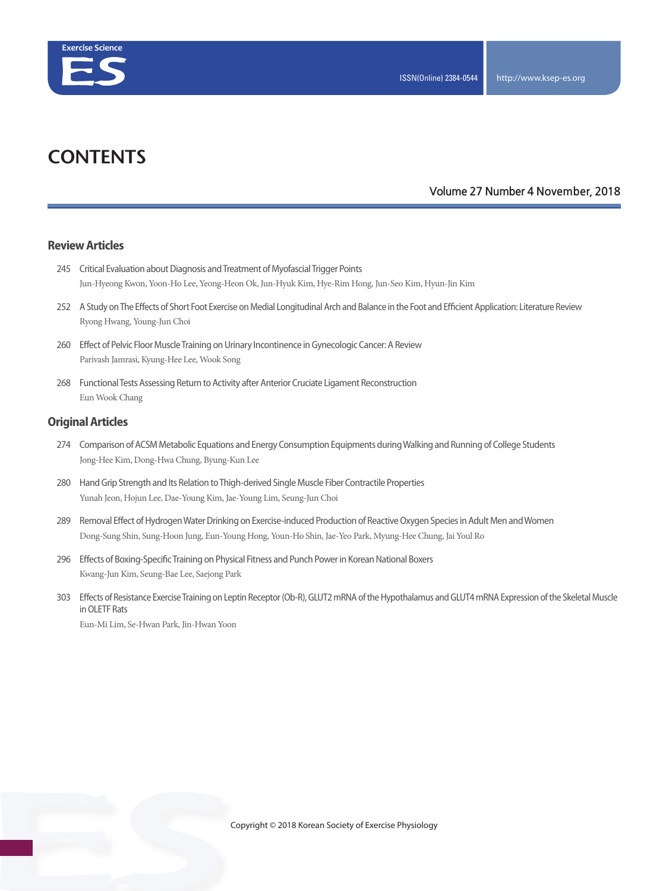

# **CONTENTS**

#### **Volume 27 Number 4 November, 2018**

#### **Review Articles**

- 245 Critical Evaluation about Diagnosis and Treatment of Myofascial Trigger Points Jun-Hyeong Kwon, Yoon-Ho Lee, Yeong-Heon Ok, Jun-Hyuk Kim, Hye-Rim Hong, Jun-Seo Kim, Hyun-Jin Kim
- 252 A Study on The Effects of Short Foot Exercise on Medial Longitudinal Arch and Balance in the Foot and Efficient Application: Literature Review Ryong Hwang, Young-Jun Choi
- 260 Effect of Pelvic Floor Muscle Training on Urinary Incontinence in Gynecologic Cancer: A Review Parivash Jamrasi, Kyung-Hee Lee, Wook Song
- 268 Functional Tests Assessing Return to Activity after Anterior Cruciate Ligament Reconstruction Eun Wook Chang

#### **Original Articles**

- 274 Comparison of ACSM Metabolic Equations and Energy Consumption Equipments during Walking and Running of College Students Jong-Hee Kim, Dong-Hwa Chung, Byung-Kun Lee
- 280 Hand Grip Strength and Its Relation to Thigh-derived Single Muscle Fiber Contractile Properties Yunah Jeon, Hojun Lee, Dae-Young Kim, Jae-Young Lim, Seung-Jun Choi
- 289 Removal Effect of Hydrogen Water Drinking on Exercise-induced Production of Reactive Oxygen Species in Adult Men and Women Dong-Sung Shin, Sung-Hoon Jung, Eun-Young Hong, Youn-Ho Shin, Jae-Yeo Park, Myung-Hee Chung, Jai Youl Ro
- 296 Effects of Boxing-Specific Training on Physical Fitness and Punch Power in Korean National Boxers Kwang-Jun Kim, Seung-Bae Lee, Saejong Park
- 303 Effects of Resistance Exercise Training on Leptin Receptor (Ob-R), GLUT2 mRNA of the Hypothalamus and GLUT4 mRNA Expression of the Skeletal Muscle in OLETF Rats

Eun-Mi Lim, Se-Hwan Park, Jin-Hwan Yoon